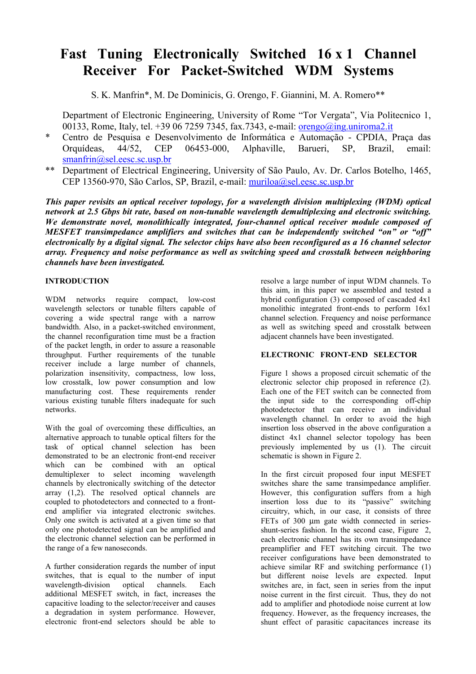# **Fast Tuning Electronically Switched 16 x 1 Channel Receiver For Packet-Switched WDM Systems**

S. K. Manfrin\*, M. De Dominicis, G. Orengo, F. Giannini, M. A. Romero\*\*

 Department of Electronic Engineering, University of Rome "Tor Vergata", Via Politecnico 1, 00133, Rome, Italy, tel. +39 06 7259 7345, fax.7343, e-mail: orengo@ing.uniroma2.it

- \* Centro de Pesquisa e Desenvolvimento de Informática e Automação CPDIA, Praça das Orquídeas, 44/52, CEP 06453-000, Alphaville, Barueri, SP, Brazil, email: smanfrin@sel.eesc.sc.usp.br
- \*\* Department of Electrical Engineering, University of São Paulo, Av. Dr. Carlos Botelho, 1465, CEP 13560-970, São Carlos, SP, Brazil, e-mail: muriloa@sel.eesc.sc.usp.br

*This paper revisits an optical receiver topology, for a wavelength division multiplexing (WDM) optical network at 2.5 Gbps bit rate, based on non-tunable wavelength demultiplexing and electronic switching. We demonstrate novel, monolithically integrated, four-channel optical receiver module composed of MESFET transimpedance amplifiers and switches that can be independently switched "on" or "off" electronically by a digital signal. The selector chips have also been reconfigured as a 16 channel selector array. Frequency and noise performance as well as switching speed and crosstalk between neighboring channels have been investigated.* 

# **INTRODUCTION**

WDM networks require compact, low-cost wavelength selectors or tunable filters capable of covering a wide spectral range with a narrow bandwidth. Also, in a packet-switched environment, the channel reconfiguration time must be a fraction of the packet length, in order to assure a reasonable throughput. Further requirements of the tunable receiver include a large number of channels, polarization insensitivity, compactness, low loss, low crosstalk, low power consumption and low manufacturing cost. These requirements render various existing tunable filters inadequate for such networks.

With the goal of overcoming these difficulties, an alternative approach to tunable optical filters for the task of optical channel selection has been demonstrated to be an electronic front-end receiver which can be combined with an optical demultiplexer to select incoming wavelength channels by electronically switching of the detector array (1,2). The resolved optical channels are coupled to photodetectors and connected to a frontend amplifier via integrated electronic switches. Only one switch is activated at a given time so that only one photodetected signal can be amplified and the electronic channel selection can be performed in the range of a few nanoseconds.

A further consideration regards the number of input switches, that is equal to the number of input wavelength-division optical channels. Each additional MESFET switch, in fact, increases the capacitive loading to the selector/receiver and causes a degradation in system performance. However, electronic front-end selectors should be able to

resolve a large number of input WDM channels. To this aim, in this paper we assembled and tested a hybrid configuration (3) composed of cascaded 4x1 monolithic integrated front-ends to perform 16x1 channel selection. Frequency and noise performance as well as switching speed and crosstalk between adjacent channels have been investigated.

# **ELECTRONIC FRONT-END SELECTOR**

Figure 1 shows a proposed circuit schematic of the electronic selector chip proposed in reference (2). Each one of the FET switch can be connected from the input side to the corresponding off-chip photodetector that can receive an individual wavelength channel. In order to avoid the high insertion loss observed in the above configuration a distinct 4x1 channel selector topology has been previously implemented by us (1). The circuit schematic is shown in Figure 2.

In the first circuit proposed four input MESFET switches share the same transimpedance amplifier. However, this configuration suffers from a high insertion loss due to its "passive" switching circuitry, which, in our case, it consists of three FETs of 300 µm gate width connected in seriesshunt-series fashion. In the second case, Figure 2, each electronic channel has its own transimpedance preamplifier and FET switching circuit. The two receiver configurations have been demonstrated to achieve similar RF and switching performance (1) but different noise levels are expected. Input switches are, in fact, seen in series from the input noise current in the first circuit. Thus, they do not add to amplifier and photodiode noise current at low frequency. However, as the frequency increases, the shunt effect of parasitic capacitances increase its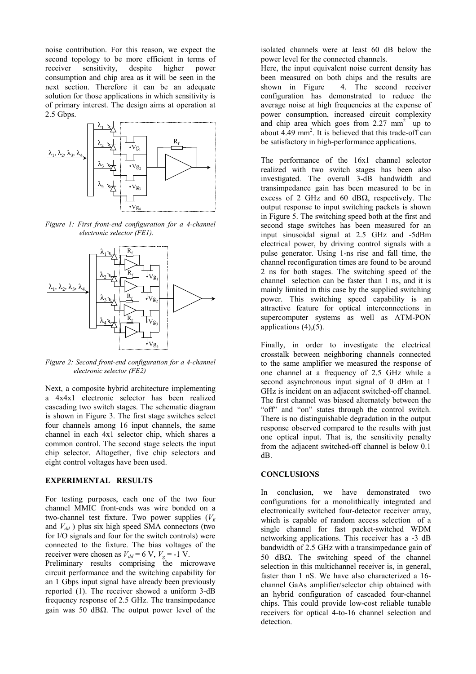noise contribution. For this reason, we expect the second topology to be more efficient in terms of<br>receiver sensitivity, despite higher nower receiver sensitivity, despite higher consumption and chip area as it will be seen in the next section. Therefore it can be an adequate solution for those applications in which sensitivity is of primary interest. The design aims at operation at 2.5 Gbps.



*Figure 1: First front-end configuration for a 4-channel electronic selector (FE1).*



*Figure 2: Second front-end configuration for a 4-channel electronic selector (FE2)*

Next, a composite hybrid architecture implementing a 4x4x1 electronic selector has been realized cascading two switch stages. The schematic diagram is shown in Figure 3. The first stage switches select four channels among 16 input channels, the same channel in each 4x1 selector chip, which shares a common control. The second stage selects the input chip selector. Altogether, five chip selectors and eight control voltages have been used.

## **EXPERIMENTAL RESULTS**

For testing purposes, each one of the two four channel MMIC front-ends was wire bonded on a two-channel test fixture. Two power supplies  $(V_g)$ and  $V_{dd}$ ) plus six high speed SMA connectors (two for I/O signals and four for the switch controls) were connected to the fixture. The bias voltages of the receiver were chosen as  $V_{dd} = 6 \text{ V}, V_g = -1 \text{ V}.$ 

Preliminary results comprising the microwave circuit performance and the switching capability for an 1 Gbps input signal have already been previously reported (1). The receiver showed a uniform 3-dB frequency response of 2.5 GHz. The transimpedance gain was 50 dBΩ. The output power level of the

isolated channels were at least 60 dB below the power level for the connected channels.

Here, the input equivalent noise current density has been measured on both chips and the results are shown in Figure 4. The second receiver configuration has demonstrated to reduce the average noise at high frequencies at the expense of power consumption, increased circuit complexity and chip area which goes from  $2.27 \text{ mm}^2$  up to about  $4.49$  mm<sup>2</sup>. It is believed that this trade-off can be satisfactory in high-performance applications.

The performance of the 16x1 channel selector realized with two switch stages has been also investigated. The overall 3-dB bandwidth and transimpedance gain has been measured to be in excess of 2 GHz and 60 dB $\Omega$ , respectively. The output response to input switching packets is shown in Figure 5. The switching speed both at the first and second stage switches has been measured for an input sinusoidal signal at 2.5 GHz and -5dBm electrical power, by driving control signals with a pulse generator. Using 1-ns rise and fall time, the channel reconfiguration times are found to be around 2 ns for both stages. The switching speed of the channel selection can be faster than 1 ns, and it is mainly limited in this case by the supplied switching power. This switching speed capability is an attractive feature for optical interconnections in supercomputer systems as well as ATM-PON applications (4),(5).

Finally, in order to investigate the electrical crosstalk between neighboring channels connected to the same amplifier we measured the response of one channel at a frequency of 2.5 GHz while a second asynchronous input signal of 0 dBm at 1 GHz is incident on an adjacent switched-off channel. The first channel was biased alternately between the "off" and "on" states through the control switch. There is no distinguishable degradation in the output response observed compared to the results with just one optical input. That is, the sensitivity penalty from the adjacent switched-off channel is below 0.1 dB.

#### **CONCLUSIONS**

In conclusion, we have demonstrated two configurations for a monolithically integrated and electronically switched four-detector receiver array, which is capable of random access selection of a single channel for fast packet-switched WDM networking applications. This receiver has a -3 dB bandwidth of 2.5 GHz with a transimpedance gain of 50 dBΩ. The switching speed of the channel selection in this multichannel receiver is, in general, faster than 1 nS. We have also characterized a 16 channel GaAs amplifier/selector chip obtained with an hybrid configuration of cascaded four-channel chips. This could provide low-cost reliable tunable receivers for optical 4-to-16 channel selection and detection.